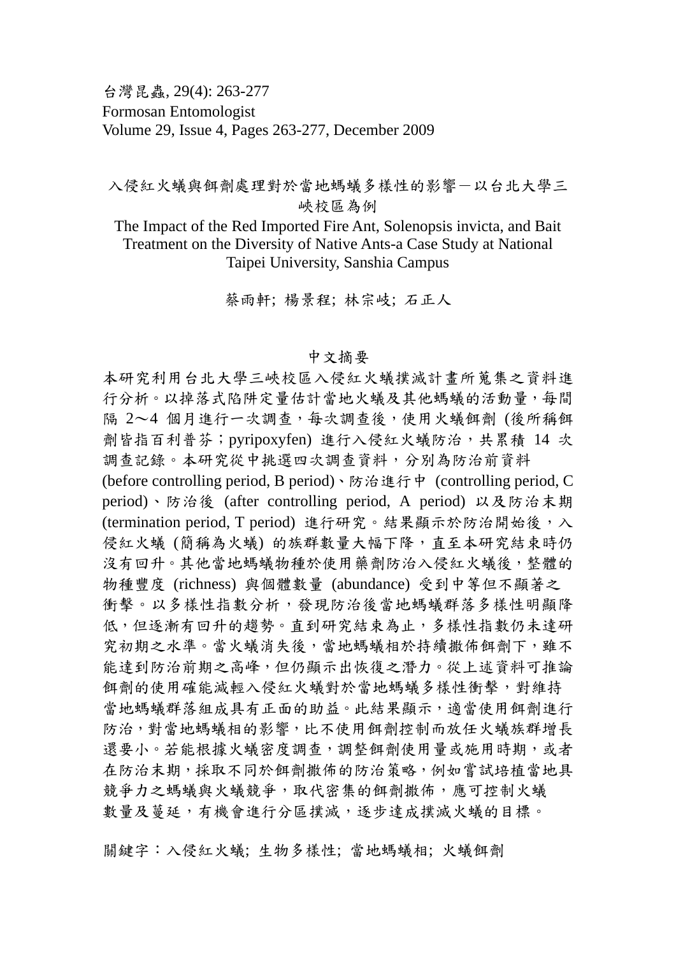台灣昆蟲, 29(4): 263-277 Formosan Entomologist Volume 29, Issue 4, Pages 263-277, December 2009

## 入侵紅火蟻與餌虜處理對於當地螞蟻多樣性的影響一以台北大學三 峽校區為例

The Impact of the Red Imported Fire Ant, Solenopsis invicta, and Bait Treatment on the Diversity of Native Ants-a Case Study at National Taipei University, Sanshia Campus

蔡雨軒; 楊景程; 林宗岐; 石正人

## 中文摘要

本研究利用台北大學三峽校區入侵紅火蟻撲滅計畫所蒐集之資料進 行分析。以掉落式陷阱定量估計當地火蟻及其他螞蟻的活動量,每間 隔 2~4 個月進行一次調查,每次調查後,使用火蟻餌劑 (後所稱餌 劑皆指百利普芬;pyripoxyfen) 進行入侵紅火蟻防治,共累積 14 次 調查記錄。本研究從中挑選四次調查資料,分別為防治前資料

(before controlling period, B period)、防治進行中 (controlling period, C period)、防治後 (after controlling period, A period) 以及防治末期 (termination period, T period) 進行研究。結果顯示於防治開始後,入 侵紅火蟻 (簡稱為火蟻) 的族群數量大幅下降,直至本研究結束時仍 沒有回升。其他當地螞蟻物種於使用藥劑防治入侵紅火蟻後,整體的 物種豐度 (richness) 與個體數量 (abundance) 受到中等但不顯著之 衝擊。以多樣性指數分析,發現防治後當地螞蟻群落多樣性明顯降 低,但逐漸有回升的趨勢。直到研究結束為止,多樣性指數仍未達研 究初期之水準。當火蟻消失後,當地螞蟻相於持續撒佈餌劑下,雖不 能達到防治前期之高峰,但仍顯示出恢復之潛力。從上述資料可推論 餌劑的使用確能減輕入侵紅火蟻對於當地螞蟻多樣性衝擊,對維持 當地螞蟻群落組成具有正面的助益。此結果顯示,適當使用餌劑進行 防治,對當地螞蟻相的影響,比不使用餌劑控制而放任火蟻族群增長 還要小。若能根據火蟻密度調查,調整餌劑使用量或施用時期,或者 在防治末期,採取不同於餌劑撒佈的防治策略,例如嘗試培植當地具 競爭力之螞蟻與火蟻競爭,取代密集的餌劑撒佈,應可控制火蟻 數量及蔓延,有機會進行分區撲滅,逐步達成撲滅火蟻的目標。

關鍵字:入侵紅火蟻; 生物多樣性; 當地螞蟻相; 火蟻餌劑